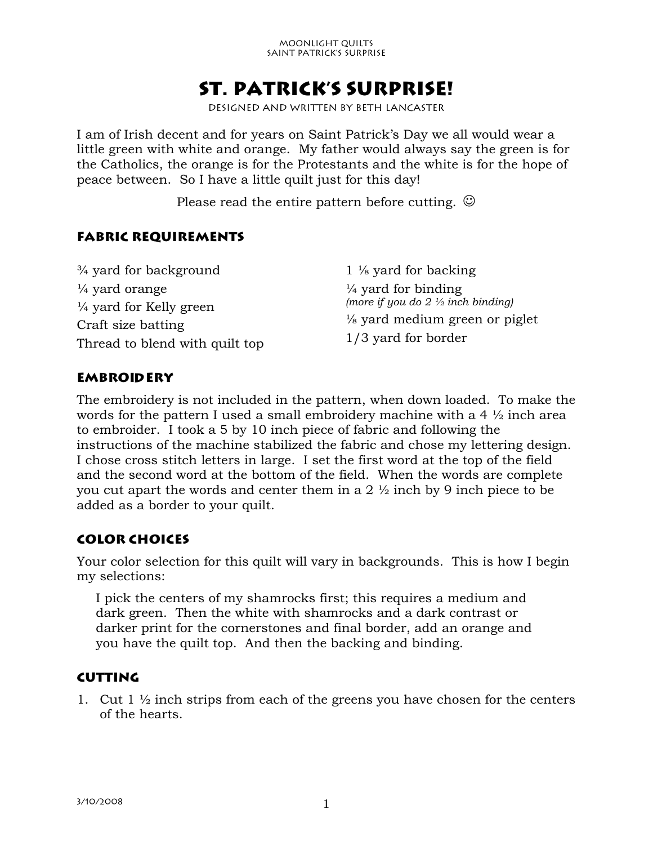#### Moonlight Quilts Saint Patrick's Surprise

# **ST. Patrick's Surprise!**

Designed and written by Beth Lancaster

I am of Irish decent and for years on Saint Patrick's Day we all would wear a little green with white and orange. My father would always say the green is for the Catholics, the orange is for the Protestants and the white is for the hope of peace between. So I have a little quilt just for this day!

Please read the entire pattern before cutting.  $\odot$ 

### **Fabric requirements**

¾ yard for background  $\frac{1}{4}$  yard orange ¼ yard for Kelly green Craft size batting Thread to blend with quilt top 1 ⅛ yard for backing  $\frac{1}{4}$  vard for binding *(more if you do 2 ½ inch binding)* ⅛ yard medium green or piglet 1/3 yard for border

### **Embroidery**

The embroidery is not included in the pattern, when down loaded. To make the words for the pattern I used a small embroidery machine with a 4 ½ inch area to embroider. I took a 5 by 10 inch piece of fabric and following the instructions of the machine stabilized the fabric and chose my lettering design. I chose cross stitch letters in large. I set the first word at the top of the field and the second word at the bottom of the field. When the words are complete you cut apart the words and center them in a 2 ½ inch by 9 inch piece to be added as a border to your quilt.

### **Color Choices**

Your color selection for this quilt will vary in backgrounds. This is how I begin my selections:

I pick the centers of my shamrocks first; this requires a medium and dark green. Then the white with shamrocks and a dark contrast or darker print for the cornerstones and final border, add an orange and you have the quilt top. And then the backing and binding.

#### **Cutting**

1. Cut 1  $\frac{1}{2}$  inch strips from each of the greens you have chosen for the centers of the hearts.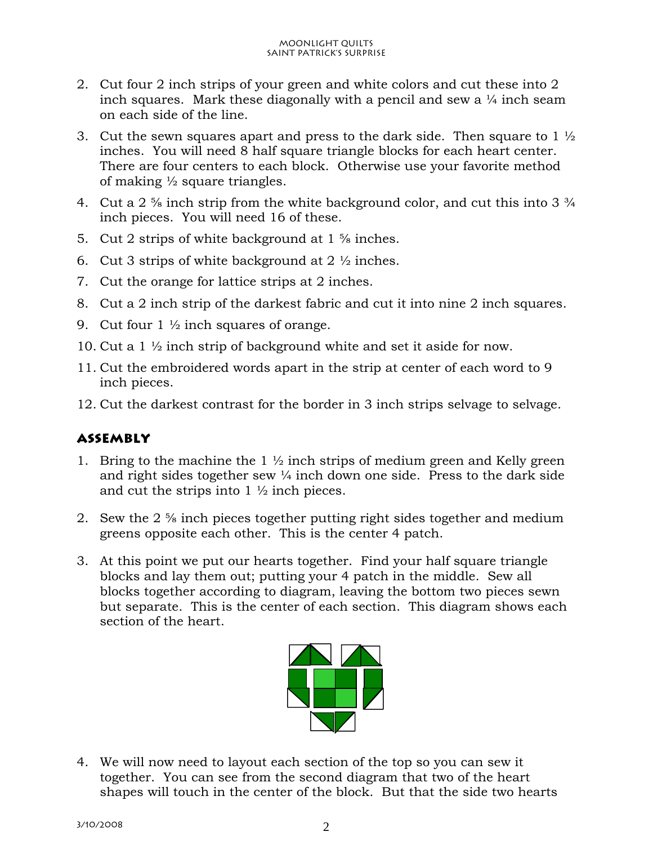- 2. Cut four 2 inch strips of your green and white colors and cut these into 2 inch squares. Mark these diagonally with a pencil and sew a  $\frac{1}{4}$  inch seam on each side of the line.
- 3. Cut the sewn squares apart and press to the dark side. Then square to 1  $\frac{1}{2}$ inches. You will need 8 half square triangle blocks for each heart center. There are four centers to each block. Otherwise use your favorite method of making  $\frac{1}{2}$  square triangles.
- 4. Cut a 2  $\frac{5}{8}$  inch strip from the white background color, and cut this into 3  $\frac{3}{4}$ inch pieces. You will need 16 of these.
- 5. Cut 2 strips of white background at 1 ⅝ inches.
- 6. Cut 3 strips of white background at  $2\frac{1}{2}$  inches.
- 7. Cut the orange for lattice strips at 2 inches.
- 8. Cut a 2 inch strip of the darkest fabric and cut it into nine 2 inch squares.
- 9. Cut four  $1 \frac{1}{2}$  inch squares of orange.
- 10. Cut a 1 ½ inch strip of background white and set it aside for now.
- 11. Cut the embroidered words apart in the strip at center of each word to 9 inch pieces.
- 12. Cut the darkest contrast for the border in 3 inch strips selvage to selvage.

## **Assembly**

- 1. Bring to the machine the  $1\frac{1}{2}$  inch strips of medium green and Kelly green and right sides together sew  $\frac{1}{4}$  inch down one side. Press to the dark side and cut the strips into  $1 \frac{1}{2}$  inch pieces.
- 2. Sew the 2 ⅝ inch pieces together putting right sides together and medium greens opposite each other. This is the center 4 patch.
- 3. At this point we put our hearts together. Find your half square triangle blocks and lay them out; putting your 4 patch in the middle. Sew all blocks together according to diagram, leaving the bottom two pieces sewn but separate. This is the center of each section. This diagram shows each section of the heart.



4. We will now need to layout each section of the top so you can sew it together. You can see from the second diagram that two of the heart shapes will touch in the center of the block. But that the side two hearts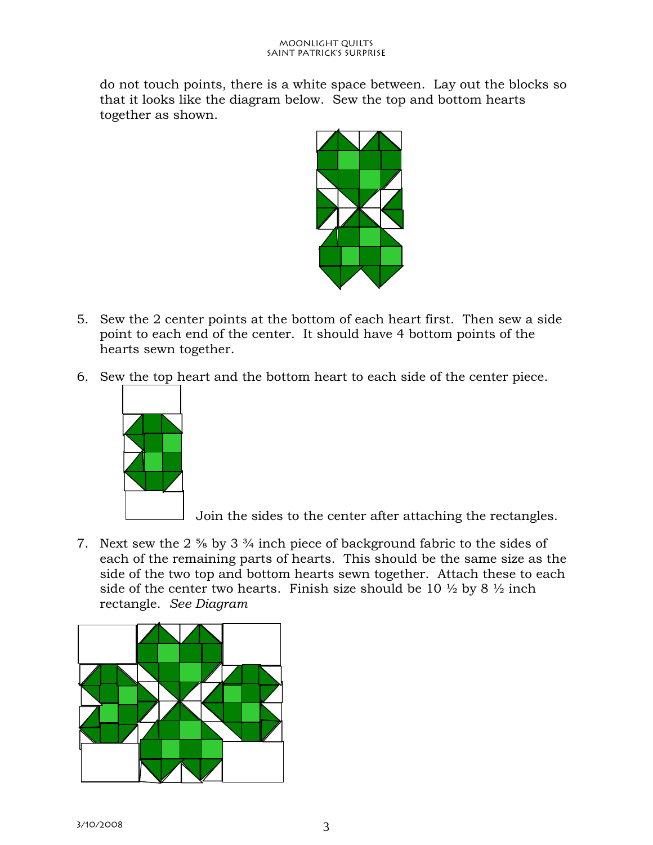do not touch points, there is a white space between. Lay out the blocks so that it looks like the diagram below. Sew the top and bottom hearts together as shown.



- 5. Sew the 2 center points at the bottom of each heart first. Then sew a side point to each end of the center. It should have 4 bottom points of the hearts sewn together.
- 6. Sew the top heart and the bottom heart to each side of the center piece.



Join the sides to the center after attaching the rectangles.

7. Next sew the 2 ⅝ by 3 ¾ inch piece of background fabric to the sides of each of the remaining parts of hearts. This should be the same size as the side of the two top and bottom hearts sewn together. Attach these to each side of the center two hearts. Finish size should be 10  $\frac{1}{2}$  by 8  $\frac{1}{2}$  inch rectangle. *See Diagram*

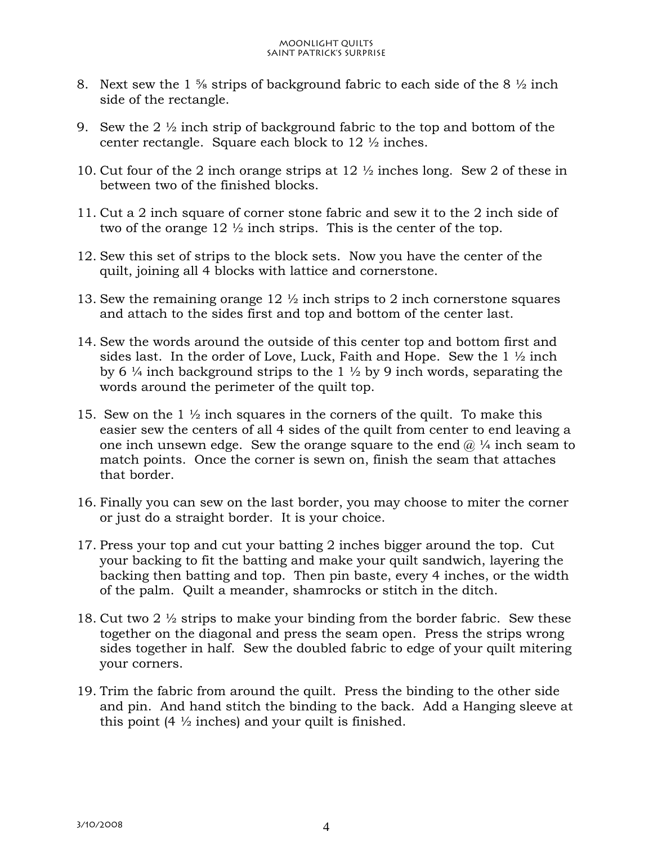- 8. Next sew the 1  $\frac{5}{8}$  strips of background fabric to each side of the 8  $\frac{1}{2}$  inch side of the rectangle.
- 9. Sew the 2  $\frac{1}{2}$  inch strip of background fabric to the top and bottom of the center rectangle. Square each block to 12 ½ inches.
- 10. Cut four of the 2 inch orange strips at 12 ½ inches long. Sew 2 of these in between two of the finished blocks.
- 11. Cut a 2 inch square of corner stone fabric and sew it to the 2 inch side of two of the orange 12 ½ inch strips. This is the center of the top.
- 12. Sew this set of strips to the block sets. Now you have the center of the quilt, joining all 4 blocks with lattice and cornerstone.
- 13. Sew the remaining orange 12 ½ inch strips to 2 inch cornerstone squares and attach to the sides first and top and bottom of the center last.
- 14. Sew the words around the outside of this center top and bottom first and sides last. In the order of Love, Luck, Faith and Hope. Sew the  $1\frac{1}{2}$  inch by 6  $\frac{1}{4}$  inch background strips to the 1  $\frac{1}{2}$  by 9 inch words, separating the words around the perimeter of the quilt top.
- 15. Sew on the 1  $\frac{1}{2}$  inch squares in the corners of the quilt. To make this easier sew the centers of all 4 sides of the quilt from center to end leaving a one inch unsewn edge. Sew the orange square to the end  $\omega$  ¼ inch seam to match points. Once the corner is sewn on, finish the seam that attaches that border.
- 16. Finally you can sew on the last border, you may choose to miter the corner or just do a straight border. It is your choice.
- 17. Press your top and cut your batting 2 inches bigger around the top. Cut your backing to fit the batting and make your quilt sandwich, layering the backing then batting and top. Then pin baste, every 4 inches, or the width of the palm. Quilt a meander, shamrocks or stitch in the ditch.
- 18. Cut two 2 ½ strips to make your binding from the border fabric. Sew these together on the diagonal and press the seam open. Press the strips wrong sides together in half. Sew the doubled fabric to edge of your quilt mitering your corners.
- 19. Trim the fabric from around the quilt. Press the binding to the other side and pin. And hand stitch the binding to the back. Add a Hanging sleeve at this point  $(4 \frac{1}{2})$  inches) and your quilt is finished.